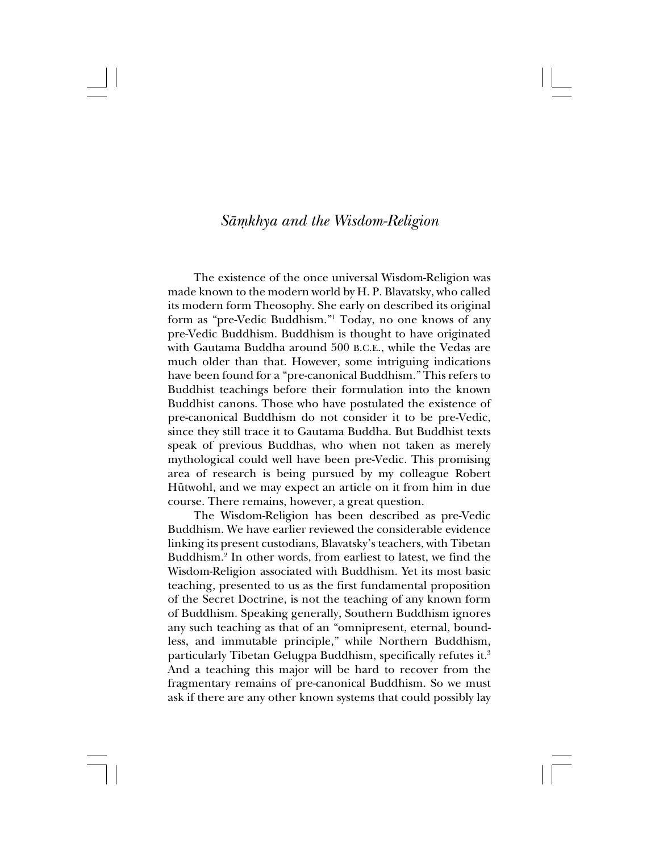# *Såµkhya and the Wisdom-Religion*

The existence of the once universal Wisdom-Religion was made known to the modern world by H. P. Blavatsky, who called its modern form Theosophy. She early on described its original form as "pre-Vedic Buddhism."1 Today, no one knows of any pre-Vedic Buddhism. Buddhism is thought to have originated with Gautama Buddha around 500 B.C.E., while the Vedas are much older than that. However, some intriguing indications have been found for a "pre-canonical Buddhism." This refers to Buddhist teachings before their formulation into the known Buddhist canons. Those who have postulated the existence of pre-canonical Buddhism do not consider it to be pre-Vedic, since they still trace it to Gautama Buddha. But Buddhist texts speak of previous Buddhas, who when not taken as merely mythological could well have been pre-Vedic. This promising area of research is being pursued by my colleague Robert Hütwohl, and we may expect an article on it from him in due course. There remains, however, a great question.

The Wisdom-Religion has been described as pre-Vedic Buddhism. We have earlier reviewed the considerable evidence linking its present custodians, Blavatsky's teachers, with Tibetan Buddhism.2 In other words, from earliest to latest, we find the Wisdom-Religion associated with Buddhism. Yet its most basic teaching, presented to us as the first fundamental proposition of the Secret Doctrine, is not the teaching of any known form of Buddhism. Speaking generally, Southern Buddhism ignores any such teaching as that of an "omnipresent, eternal, boundless, and immutable principle," while Northern Buddhism, particularly Tibetan Gelugpa Buddhism, specifically refutes it.3 And a teaching this major will be hard to recover from the fragmentary remains of pre-canonical Buddhism. So we must ask if there are any other known systems that could possibly lay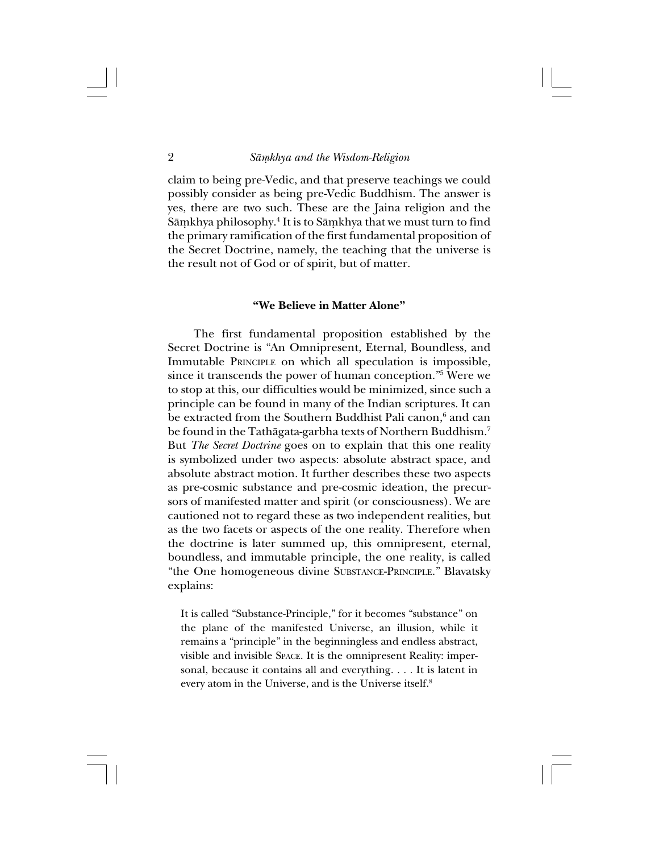claim to being pre-Vedic, and that preserve teachings we could possibly consider as being pre-Vedic Buddhism. The answer is yes, there are two such. These are the Jaina religion and the Sāṃkhya philosophy.<sup>4</sup> It is to Sāṃkhya that we must turn to find the primary ramification of the first fundamental proposition of the Secret Doctrine, namely, the teaching that the universe is the result not of God or of spirit, but of matter.

#### **"We Believe in Matter Alone"**

The first fundamental proposition established by the Secret Doctrine is "An Omnipresent, Eternal, Boundless, and Immutable PRINCIPLE on which all speculation is impossible, since it transcends the power of human conception."5 Were we to stop at this, our difficulties would be minimized, since such a principle can be found in many of the Indian scriptures. It can be extracted from the Southern Buddhist Pali canon, $^6$  and can be found in the Tathāgata-garbha texts of Northern Buddhism.<sup>7</sup> But *The Secret Doctrine* goes on to explain that this one reality is symbolized under two aspects: absolute abstract space, and absolute abstract motion. It further describes these two aspects as pre-cosmic substance and pre-cosmic ideation, the precursors of manifested matter and spirit (or consciousness). We are cautioned not to regard these as two independent realities, but as the two facets or aspects of the one reality. Therefore when the doctrine is later summed up, this omnipresent, eternal, boundless, and immutable principle, the one reality, is called "the One homogeneous divine SUBSTANCE-PRINCIPLE." Blavatsky explains:

It is called "Substance-Principle," for it becomes "substance" on the plane of the manifested Universe, an illusion, while it remains a "principle" in the beginningless and endless abstract, visible and invisible SPACE. It is the omnipresent Reality: impersonal, because it contains all and everything. . . . It is latent in every atom in the Universe, and is the Universe itself.8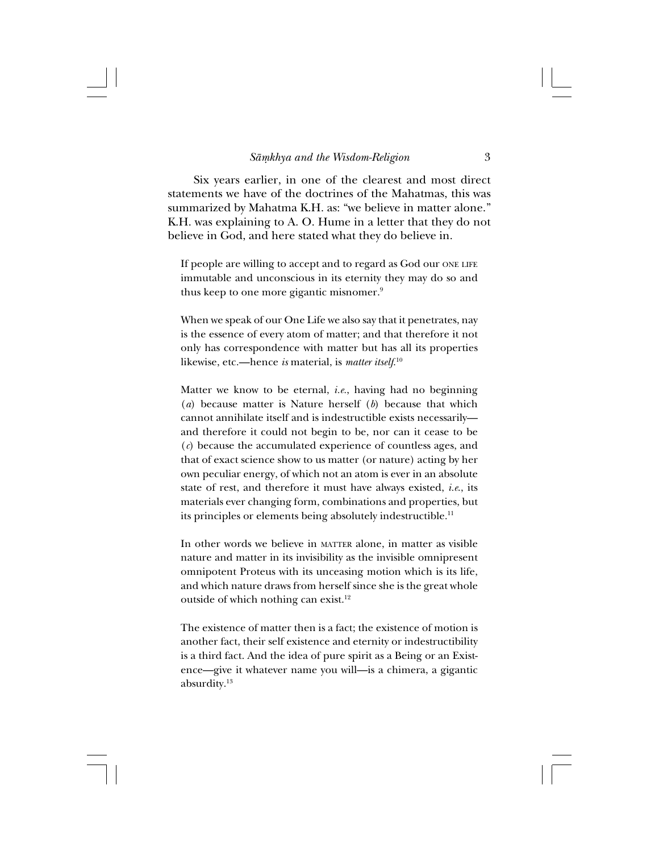Six years earlier, in one of the clearest and most direct statements we have of the doctrines of the Mahatmas, this was summarized by Mahatma K.H. as: "we believe in matter alone." K.H. was explaining to A. O. Hume in a letter that they do not believe in God, and here stated what they do believe in.

If people are willing to accept and to regard as God our ONE LIFE immutable and unconscious in its eternity they may do so and thus keep to one more gigantic misnomer.9

When we speak of our One Life we also say that it penetrates, nay is the essence of every atom of matter; and that therefore it not only has correspondence with matter but has all its properties likewise, etc.—hence *is* material, is *matter itself*. 10

Matter we know to be eternal, *i.e.*, having had no beginning (*a*) because matter is Nature herself (*b*) because that which cannot annihilate itself and is indestructible exists necessarily and therefore it could not begin to be, nor can it cease to be (*c*) because the accumulated experience of countless ages, and that of exact science show to us matter (or nature) acting by her own peculiar energy, of which not an atom is ever in an absolute state of rest, and therefore it must have always existed, *i.e*., its materials ever changing form, combinations and properties, but its principles or elements being absolutely indestructible.<sup>11</sup>

In other words we believe in MATTER alone, in matter as visible nature and matter in its invisibility as the invisible omnipresent omnipotent Proteus with its unceasing motion which is its life, and which nature draws from herself since she is the great whole outside of which nothing can exist.<sup>12</sup>

The existence of matter then is a fact; the existence of motion is another fact, their self existence and eternity or indestructibility is a third fact. And the idea of pure spirit as a Being or an Existence—give it whatever name you will—is a chimera, a gigantic absurdity.13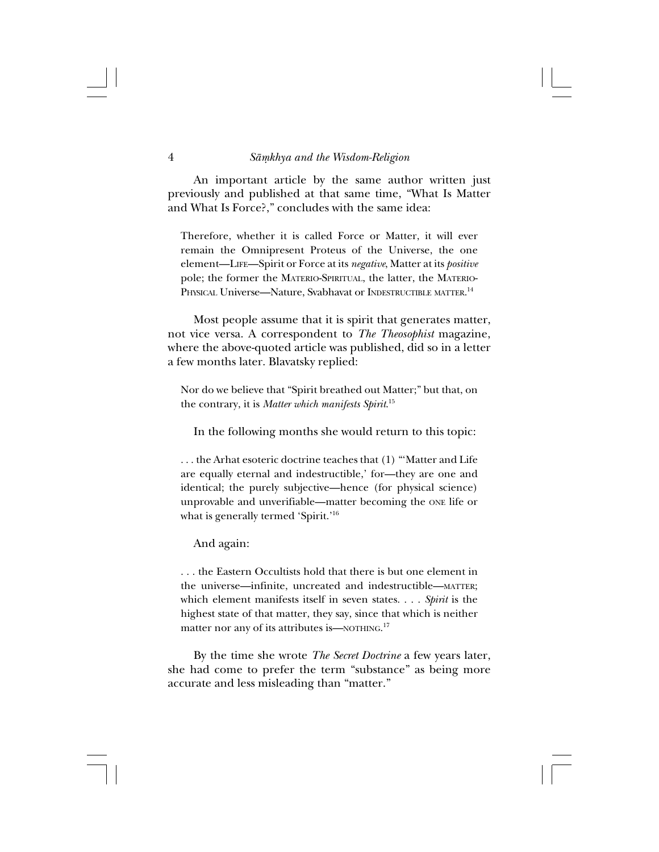An important article by the same author written just previously and published at that same time, "What Is Matter and What Is Force?," concludes with the same idea:

Therefore, whether it is called Force or Matter, it will ever remain the Omnipresent Proteus of the Universe, the one element—LIFE—Spirit or Force at its *negative*, Matter at its *positive* pole; the former the MATERIO-SPIRITUAL, the latter, the MATERIO-Physical Universe—Nature, Svabhavat or Indestructible matter.<sup>14</sup>

Most people assume that it is spirit that generates matter, not vice versa. A correspondent to *The Theosophist* magazine, where the above-quoted article was published, did so in a letter a few months later. Blavatsky replied:

Nor do we believe that "Spirit breathed out Matter;" but that, on the contrary, it is *Matter which manifests Spirit*. 15

In the following months she would return to this topic:

. . . the Arhat esoteric doctrine teaches that (1) "'Matter and Life are equally eternal and indestructible,' for—they are one and identical; the purely subjective—hence (for physical science) unprovable and unverifiable—matter becoming the ONE life or what is generally termed 'Spirit.'16

And again:

. . . the Eastern Occultists hold that there is but one element in the universe—infinite, uncreated and indestructible—MATTER; which element manifests itself in seven states. . . . *Spirit* is the highest state of that matter, they say, since that which is neither matter nor any of its attributes is—NOTHING.<sup>17</sup>

By the time she wrote *The Secret Doctrine* a few years later, she had come to prefer the term "substance" as being more accurate and less misleading than "matter."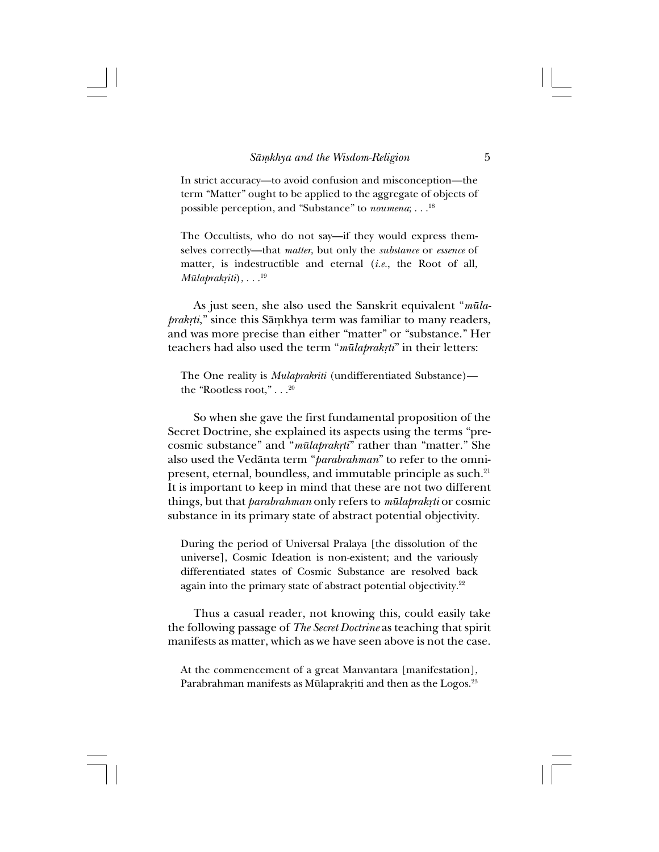In strict accuracy—to avoid confusion and misconception—the term "Matter" ought to be applied to the aggregate of objects of possible perception, and "Substance" to *noumena*; . . .18

The Occultists, who do not say—if they would express themselves correctly—that *matter*, but only the *substance* or *essence* of matter, is indestructible and eternal (*i.e.*, the Root of all, *Mūlaprakriti*), . . .<sup>19</sup>

As just seen, she also used the Sanskrit equivalent "*mülaprakṛti*," since this Sāmkhya term was familiar to many readers, and was more precise than either "matter" or "substance." Her teachers had also used the term "*mūlaprakrti*" in their letters:

The One reality is *Mulaprakriti* (undifferentiated Substance) the "Rootless root," . . .  $^{20}$ 

So when she gave the first fundamental proposition of the Secret Doctrine, she explained its aspects using the terms "precosmic substance" and "*mūlaprakrti*" rather than "matter." She also used the Vedånta term "*parabrahman*" to refer to the omnipresent, eternal, boundless, and immutable principle as such.21 It is important to keep in mind that these are not two different things, but that *parabrahman* only refers to *mūlaprakrti* or cosmic substance in its primary state of abstract potential objectivity.

During the period of Universal Pralaya [the dissolution of the universe], Cosmic Ideation is non-existent; and the variously differentiated states of Cosmic Substance are resolved back again into the primary state of abstract potential objectivity.<sup>22</sup>

Thus a casual reader, not knowing this, could easily take the following passage of *The Secret Doctrine* as teaching that spirit manifests as matter, which as we have seen above is not the case.

At the commencement of a great Manvantara [manifestation], Parabrahman manifests as Mūlaprakriti and then as the Logos.<sup>23</sup>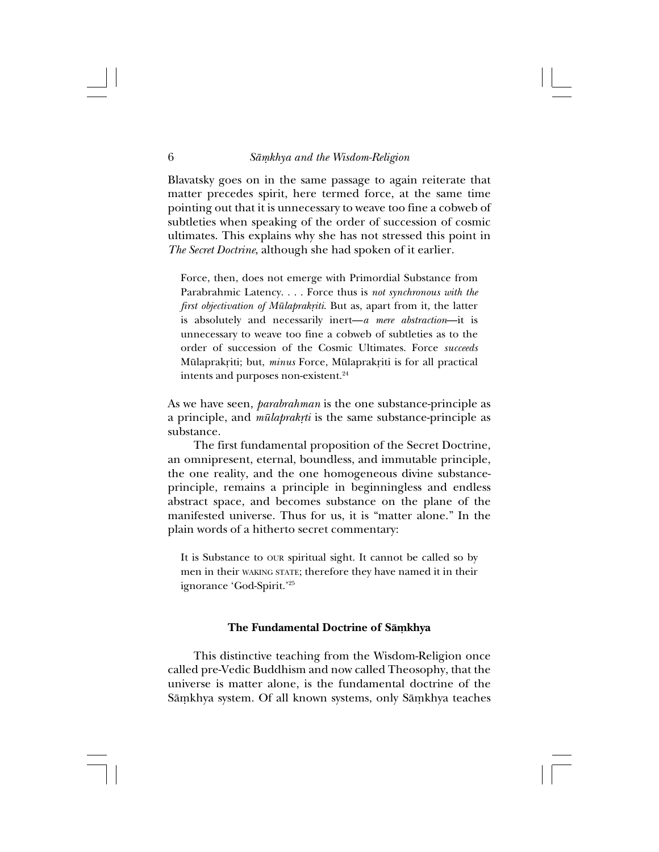Blavatsky goes on in the same passage to again reiterate that matter precedes spirit, here termed force, at the same time pointing out that it is unnecessary to weave too fine a cobweb of subtleties when speaking of the order of succession of cosmic ultimates. This explains why she has not stressed this point in *The Secret Doctrine*, although she had spoken of it earlier.

Force, then, does not emerge with Primordial Substance from Parabrahmic Latency. . . . Force thus is *not synchronous with the first objectivation of Mūlaprakriti*. But as, apart from it, the latter is absolutely and necessarily inert—*a mere abstraction*—it is unnecessary to weave too fine a cobweb of subtleties as to the order of succession of the Cosmic Ultimates. Force *succeeds* Mülaprakriti; but, *minus* Force, Mülaprakriti is for all practical intents and purposes non-existent.<sup>24</sup>

As we have seen, *parabrahman* is the one substance-principle as a principle, and *mūlaprakrti* is the same substance-principle as substance.

The first fundamental proposition of the Secret Doctrine, an omnipresent, eternal, boundless, and immutable principle, the one reality, and the one homogeneous divine substanceprinciple, remains a principle in beginningless and endless abstract space, and becomes substance on the plane of the manifested universe. Thus for us, it is "matter alone." In the plain words of a hitherto secret commentary:

It is Substance to OUR spiritual sight. It cannot be called so by men in their WAKING STATE; therefore they have named it in their ignorance 'God-Spirit.'25

### **The Fundamental Doctrine of Sāmkhya**

This distinctive teaching from the Wisdom-Religion once called pre-Vedic Buddhism and now called Theosophy, that the universe is matter alone, is the fundamental doctrine of the Sāmkhya system. Of all known systems, only Sāmkhya teaches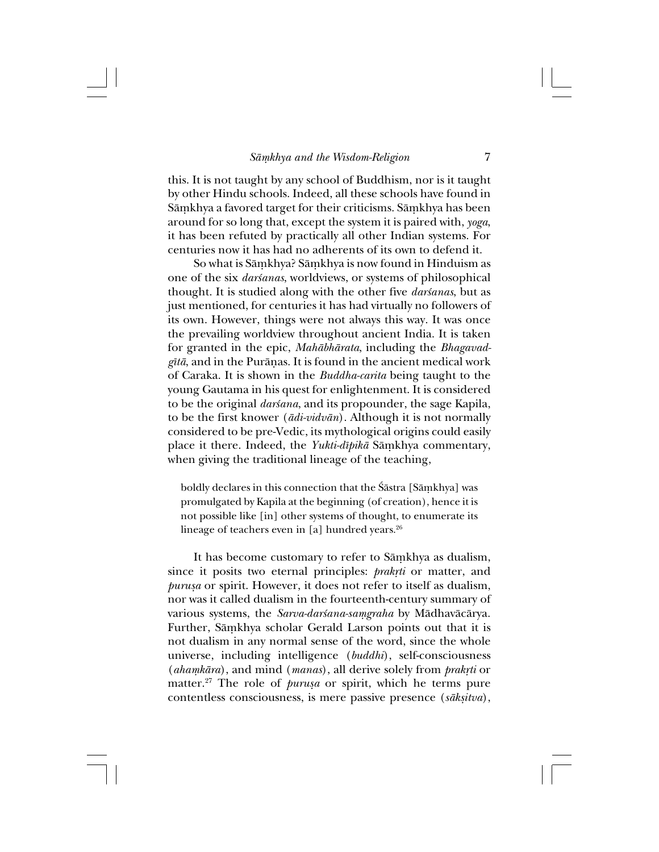this. It is not taught by any school of Buddhism, nor is it taught by other Hindu schools. Indeed, all these schools have found in Sāmkhya a favored target for their criticisms. Sāmkhya has been around for so long that, except the system it is paired with, *yoga*, it has been refuted by practically all other Indian systems. For centuries now it has had no adherents of its own to defend it.

So what is Sāmkhya? Sāmkhya is now found in Hinduism as one of the six *darśanas*, worldviews, or systems of philosophical thought. It is studied along with the other five *darsanas*, but as just mentioned, for centuries it has had virtually no followers of its own. However, things were not always this way. It was once the prevailing worldview throughout ancient India. It is taken for granted in the epic, *Mahåbhårata*, including the *Bhagavadgîtå*, and in the Puråñas. It is found in the ancient medical work of Caraka. It is shown in the *Buddha-carita* being taught to the young Gautama in his quest for enlightenment. It is considered to be the original *darsana*, and its propounder, the sage Kapila, to be the first knower (*ådi-vidvån*). Although it is not normally considered to be pre-Vedic, its mythological origins could easily place it there. Indeed, the *Yukti-dīpikā* Sāmkhya commentary, when giving the traditional lineage of the teaching,

boldly declares in this connection that the Śāstra [Sāmkhya] was promulgated by Kapila at the beginning (of creation), hence it is not possible like [in] other systems of thought, to enumerate its lineage of teachers even in  $[a]$  hundred years.<sup>26</sup>

It has become customary to refer to Sāmkhya as dualism, since it posits two eternal principles: *prakrti* or matter, and *purußa* or spirit. However, it does not refer to itself as dualism, nor was it called dualism in the fourteenth-century summary of various systems, the *Sarva-darśana-samgraha* by Mādhavācārya. Further, Sāmkhya scholar Gerald Larson points out that it is not dualism in any normal sense of the word, since the whole universe, including intelligence (*buddhi*), self-consciousness (*ahamkāra*), and mind (*manas*), all derive solely from *prakrti* or matter.<sup>27</sup> The role of *purusa* or spirit, which he terms pure contentless consciousness, is mere passive presence (sāksitva),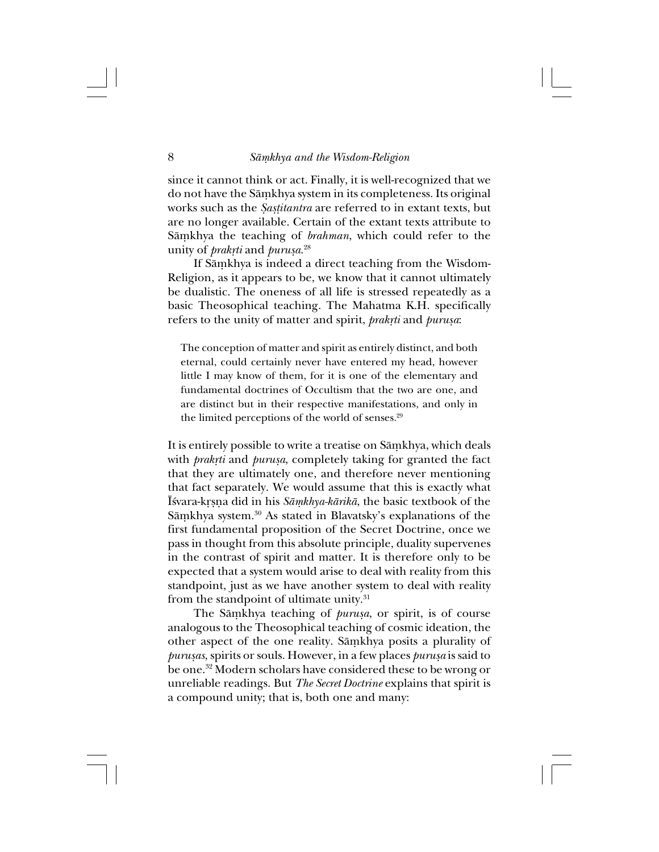since it cannot think or act. Finally, it is well-recognized that we do not have the Sāmkhya system in its completeness. Its original works such as the *Ía߆itantra* are referred to in extant texts, but are no longer available. Certain of the extant texts attribute to Sāmkhya the teaching of *brahman*, which could refer to the unity of *prak®ti* and *purußa*. 28

If Sāmkhya is indeed a direct teaching from the Wisdom-Religion, as it appears to be, we know that it cannot ultimately be dualistic. The oneness of all life is stressed repeatedly as a basic Theosophical teaching. The Mahatma K.H. specifically refers to the unity of matter and spirit, *prakrti* and *purusa*:

The conception of matter and spirit as entirely distinct, and both eternal, could certainly never have entered my head, however little I may know of them, for it is one of the elementary and fundamental doctrines of Occultism that the two are one, and are distinct but in their respective manifestations, and only in the limited perceptions of the world of senses.<sup>29</sup>

It is entirely possible to write a treatise on Sāmkhya, which deals with *prakrti* and *purusa*, completely taking for granted the fact that they are ultimately one, and therefore never mentioning that fact separately. We would assume that this is exactly what Īśvara-krsna did in his *Sāmkhya-kārikā*, the basic textbook of the Sāṃkhya system.<sup>30</sup> As stated in Blavatsky's explanations of the first fundamental proposition of the Secret Doctrine, once we pass in thought from this absolute principle, duality supervenes in the contrast of spirit and matter. It is therefore only to be expected that a system would arise to deal with reality from this standpoint, just as we have another system to deal with reality from the standpoint of ultimate unity.<sup>31</sup>

The Sāmkhya teaching of *purusa*, or spirit, is of course analogous to the Theosophical teaching of cosmic ideation, the other aspect of the one reality. Sāmkhya posits a plurality of *purusas*, spirits or souls. However, in a few places *purusa* is said to be one.32 Modern scholars have considered these to be wrong or unreliable readings. But *The Secret Doctrine* explains that spirit is a compound unity; that is, both one and many: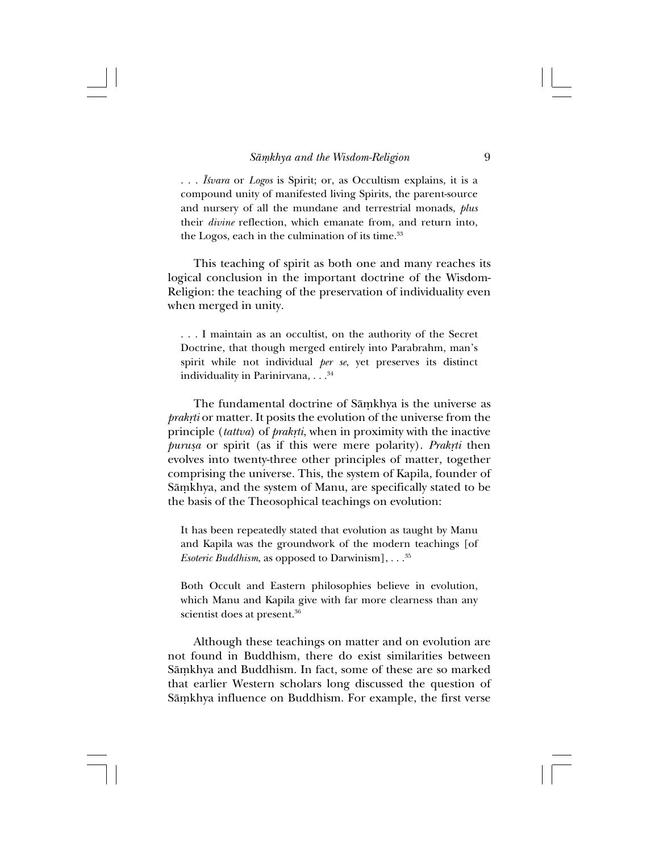. . . *ˆ≈vara* or *Logos* is Spirit; or, as Occultism explains, it is a compound unity of manifested living Spirits, the parent-source and nursery of all the mundane and terrestrial monads, *plus* their *divine* reflection, which emanate from, and return into, the Logos, each in the culmination of its time.<sup>33</sup>

This teaching of spirit as both one and many reaches its logical conclusion in the important doctrine of the Wisdom-Religion: the teaching of the preservation of individuality even when merged in unity.

. . . I maintain as an occultist, on the authority of the Secret Doctrine, that though merged entirely into Parabrahm, man's spirit while not individual *per se*, yet preserves its distinct individuality in Parinirvana, . . . 34

The fundamental doctrine of Sāmkhya is the universe as *prakrti* or matter. It posits the evolution of the universe from the principle (*tattva*) of *prakrti*, when in proximity with the inactive *purusa* or spirit (as if this were mere polarity). *Prakrti* then evolves into twenty-three other principles of matter, together comprising the universe. This, the system of Kapila, founder of Sāmkhya, and the system of Manu, are specifically stated to be the basis of the Theosophical teachings on evolution:

It has been repeatedly stated that evolution as taught by Manu and Kapila was the groundwork of the modern teachings [of *Esoteric Buddhism*, as opposed to Darwinism], . . .<sup>35</sup>

Both Occult and Eastern philosophies believe in evolution, which Manu and Kapila give with far more clearness than any scientist does at present.<sup>36</sup>

Although these teachings on matter and on evolution are not found in Buddhism, there do exist similarities between Sāmkhya and Buddhism. In fact, some of these are so marked that earlier Western scholars long discussed the question of Sāmkhya influence on Buddhism. For example, the first verse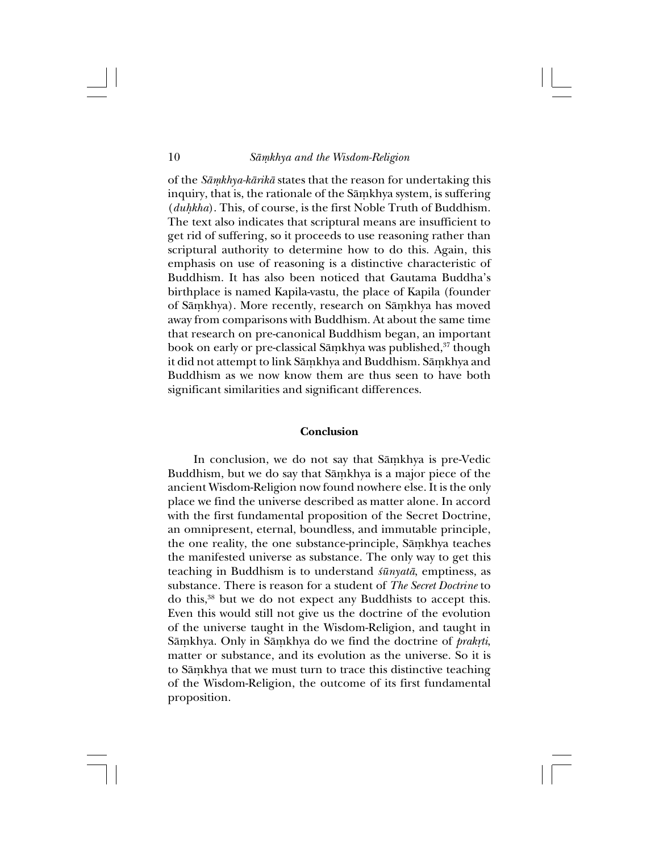of the *Såµkhya-kårikå* states that the reason for undertaking this inquiry, that is, the rationale of the Sāmkhya system, is suffering (*duhkha*). This, of course, is the first Noble Truth of Buddhism. The text also indicates that scriptural means are insufficient to get rid of suffering, so it proceeds to use reasoning rather than scriptural authority to determine how to do this. Again, this emphasis on use of reasoning is a distinctive characteristic of Buddhism. It has also been noticed that Gautama Buddha's birthplace is named Kapila-vastu, the place of Kapila (founder of Sāmkhya). More recently, research on Sāmkhya has moved away from comparisons with Buddhism. At about the same time that research on pre-canonical Buddhism began, an important book on early or pre-classical Sāmkhya was published,<sup>37</sup> though it did not attempt to link Sāmkhya and Buddhism. Sāmkhya and Buddhism as we now know them are thus seen to have both significant similarities and significant differences.

### **Conclusion**

In conclusion, we do not say that Samkhya is pre-Vedic Buddhism, but we do say that Sāmkhya is a major piece of the ancient Wisdom-Religion now found nowhere else. It is the only place we find the universe described as matter alone. In accord with the first fundamental proposition of the Secret Doctrine, an omnipresent, eternal, boundless, and immutable principle, the one reality, the one substance-principle, Sāmkhya teaches the manifested universe as substance. The only way to get this teaching in Buddhism is to understand *śūnyatā*, emptiness, as substance. There is reason for a student of *The Secret Doctrine* to do this,38 but we do not expect any Buddhists to accept this. Even this would still not give us the doctrine of the evolution of the universe taught in the Wisdom-Religion, and taught in Sāmkhya. Only in Sāmkhya do we find the doctrine of *prakrti*, matter or substance, and its evolution as the universe. So it is to Sāmkhya that we must turn to trace this distinctive teaching of the Wisdom-Religion, the outcome of its first fundamental proposition.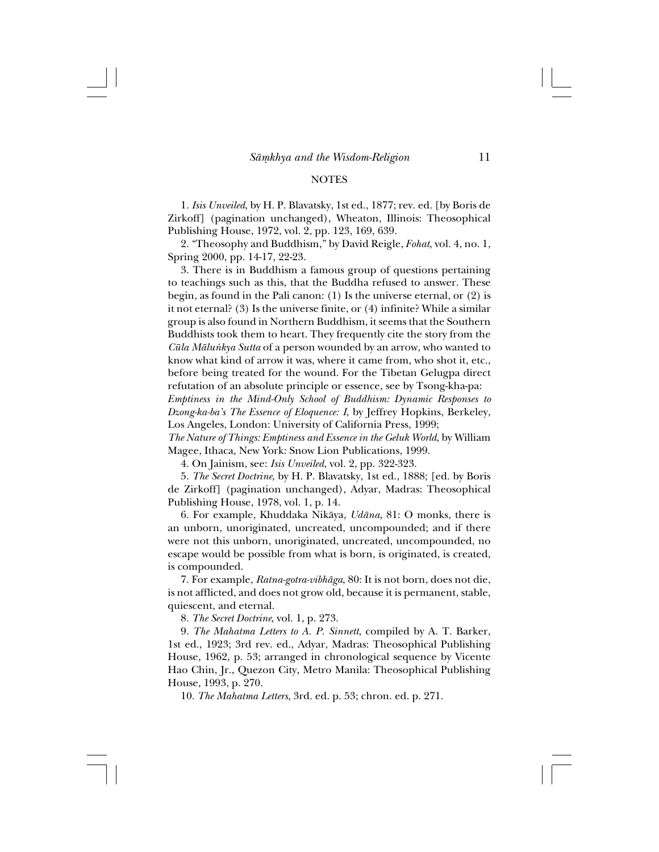#### **NOTES**

1. *Isis Unveiled*, by H. P. Blavatsky, 1st ed., 1877; rev. ed. [by Boris de Zirkoff] (pagination unchanged), Wheaton, Illinois: Theosophical Publishing House, 1972, vol. 2, pp. 123, 169, 639.

2. "Theosophy and Buddhism," by David Reigle, *Fohat*, vol. 4, no. 1, Spring 2000, pp. 14-17, 22-23.

3. There is in Buddhism a famous group of questions pertaining to teachings such as this, that the Buddha refused to answer. These begin, as found in the Pali canon: (1) Is the universe eternal, or (2) is it not eternal? (3) Is the universe finite, or (4) infinite? While a similar group is also found in Northern Buddhism, it seems that the Southern Buddhists took them to heart. They frequently cite the story from the *Cüla Målu∫kya Sutta* of a person wounded by an arrow, who wanted to know what kind of arrow it was, where it came from, who shot it, etc., before being treated for the wound. For the Tibetan Gelugpa direct refutation of an absolute principle or essence, see by Tsong-kha-pa:

*Emptiness in the Mind-Only School of Buddhism: Dynamic Responses to Dzong-ka-ba's The Essence of Eloquence: I*, by Jeffrey Hopkins, Berkeley, Los Angeles, London: University of California Press, 1999;

*The Nature of Things: Emptiness and Essence in the Geluk World*, by William Magee, Ithaca, New York: Snow Lion Publications, 1999.

4. On Jainism, see: *Isis Unveiled*, vol. 2, pp. 322-323.

5. *The Secret Doctrine*, by H. P. Blavatsky, 1st ed., 1888; [ed. by Boris de Zirkoff] (pagination unchanged), Adyar, Madras: Theosophical Publishing House, 1978, vol. 1, p. 14.

6. For example, Khuddaka Nikåya, *Udåna*, 81: O monks, there is an unborn, unoriginated, uncreated, uncompounded; and if there were not this unborn, unoriginated, uncreated, uncompounded, no escape would be possible from what is born, is originated, is created, is compounded.

7. For example, *Ratna-gotra-vibhåga*, 80: It is not born, does not die, is not afflicted, and does not grow old, because it is permanent, stable, quiescent, and eternal.

8. *The Secret Doctrine*, vol. 1, p. 273.

9. *The Mahatma Letters to A. P. Sinnett*, compiled by A. T. Barker, 1st ed., 1923; 3rd rev. ed., Adyar, Madras: Theosophical Publishing House, 1962, p. 53; arranged in chronological sequence by Vicente Hao Chin, Jr., Quezon City, Metro Manila: Theosophical Publishing House, 1993, p. 270.

10. *The Mahatma Letters*, 3rd. ed. p. 53; chron. ed. p. 271.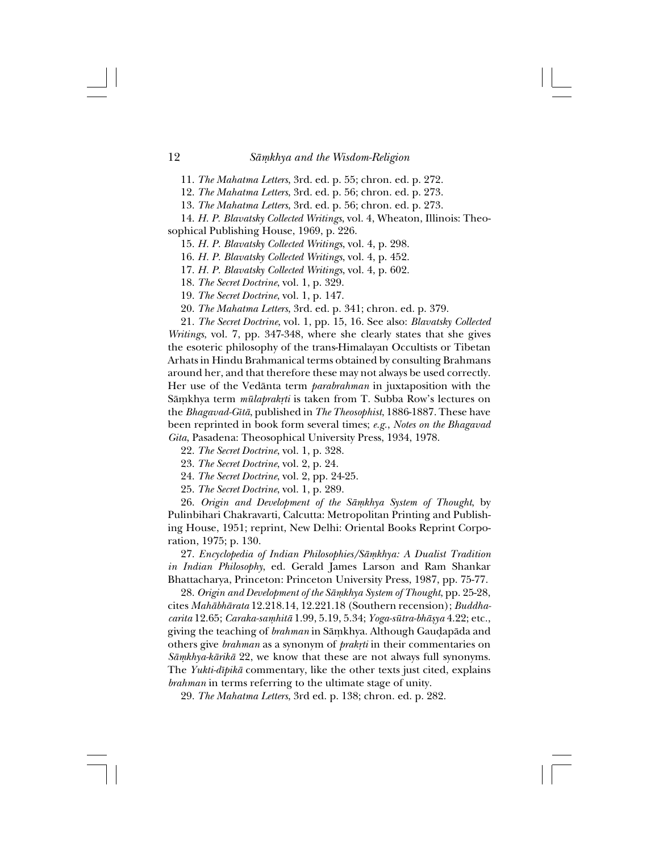11. *The Mahatma Letters*, 3rd. ed. p. 55; chron. ed. p. 272.

12. *The Mahatma Letters*, 3rd. ed. p. 56; chron. ed. p. 273.

13. *The Mahatma Letters*, 3rd. ed. p. 56; chron. ed. p. 273.

14. *H. P. Blavatsky Collected Writings*, vol. 4, Wheaton, Illinois: Theosophical Publishing House, 1969, p. 226.

15. *H. P. Blavatsky Collected Writings*, vol. 4, p. 298.

16. *H. P. Blavatsky Collected Writings*, vol. 4, p. 452.

17. *H. P. Blavatsky Collected Writings*, vol. 4, p. 602.

18. *The Secret Doctrine*, vol. 1, p. 329.

19. *The Secret Doctrine*, vol. 1, p. 147.

20. *The Mahatma Letters*, 3rd. ed. p. 341; chron. ed. p. 379.

21. *The Secret Doctrine*, vol. 1, pp. 15, 16. See also: *Blavatsky Collected Writings*, vol. 7, pp. 347-348, where she clearly states that she gives the esoteric philosophy of the trans-Himalayan Occultists or Tibetan Arhats in Hindu Brahmanical terms obtained by consulting Brahmans around her, and that therefore these may not always be used correctly. Her use of the Vedånta term *parabrahman* in juxtaposition with the Sāmkhya term *mūlaprakrti* is taken from T. Subba Row's lectures on the *Bhagavad-Gîtå*, published in *The Theosophist*, 1886-1887. These have been reprinted in book form several times; *e.g.*, *Notes on the Bhagavad Gita*, Pasadena: Theosophical University Press, 1934, 1978.

22. *The Secret Doctrine*, vol. 1, p. 328.

23. *The Secret Doctrine*, vol. 2, p. 24.

24. *The Secret Doctrine*, vol. 2, pp. 24-25.

25. *The Secret Doctrine*, vol. 1, p. 289.

26. *Origin and Development of the Sāmkhya System of Thought*, by Pulinbihari Chakravarti, Calcutta: Metropolitan Printing and Publishing House, 1951; reprint, New Delhi: Oriental Books Reprint Corporation, 1975; p. 130.

27. *Encyclopedia of Indian Philosophies/Såµkhya: A Dualist Tradition in Indian Philosophy*, ed. Gerald James Larson and Ram Shankar Bhattacharya, Princeton: Princeton University Press, 1987, pp. 75-77.

28. Origin and Development of the Sāmkhya System of Thought, pp. 25-28, cites *Mahåbhårata* 12.218.14, 12.221.18 (Southern recension); *Buddhacarita* 12.65; *Caraka-saµhitå* 1.99, 5.19, 5.34; *Yoga-sütra-bhåßya* 4.22; etc., giving the teaching of *brahman* in Sāmkhya. Although Gauḍapāda and others give *brahman* as a synonym of *prakrti* in their commentaries on *Såµkhya-kårikå* 22, we know that these are not always full synonyms. The *Yukti-dîpikå* commentary, like the other texts just cited, explains *brahman* in terms referring to the ultimate stage of unity.

29. *The Mahatma Letters*, 3rd ed. p. 138; chron. ed. p. 282.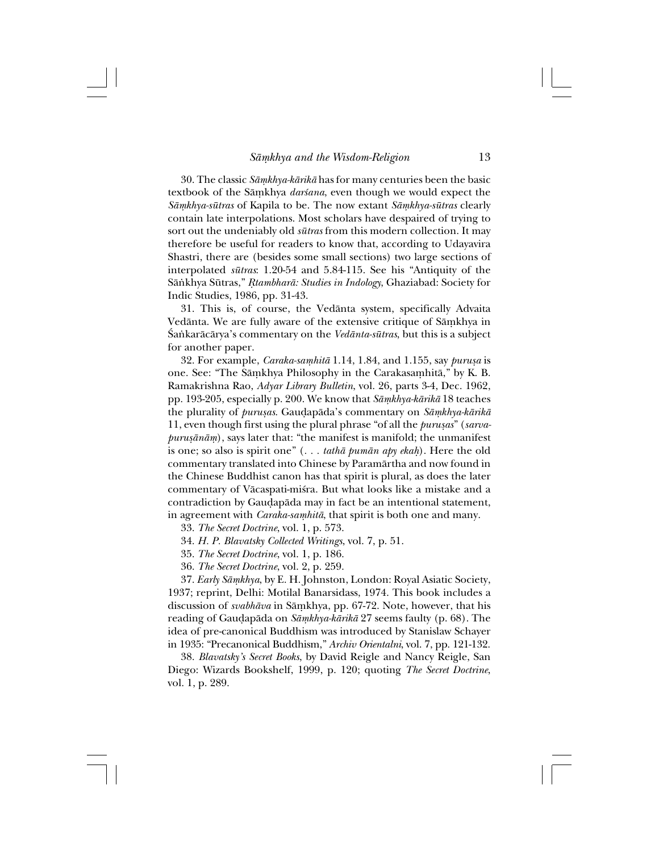30. The classic *Såµkhya-kårikå* has for many centuries been the basic textbook of the Sāmkhya *darśana*, even though we would expect the *Såµkhya-sütras* of Kapila to be. The now extant *Såµkhya-sütras* clearly contain late interpolations. Most scholars have despaired of trying to sort out the undeniably old *sütras* from this modern collection. It may therefore be useful for readers to know that, according to Udayavira Shastri, there are (besides some small sections) two large sections of interpolated *sütras*: 1.20-54 and 5.84-115. See his "Antiquity of the Sānkhya Sūtras," *Rtambharā: Studies in Indology*, Ghaziabad: Society for Indic Studies, 1986, pp. 31-43.

31. This is, of course, the Vedånta system, specifically Advaita Vedānta. We are fully aware of the extensive critique of Sāmkhya in ˛a∫karåcårya's commentary on the *Vedånta-sütras*, but this is a subject for another paper.

32. For example, *Caraka-saµhitå* 1.14, 1.84, and 1.155, say *purußa* is one. See: "The Sāmkhya Philosophy in the Carakasamhitā," by K. B. Ramakrishna Rao, *Adyar Library Bulletin*, vol. 26, parts 3-4, Dec. 1962, pp. 193-205, especially p. 200. We know that *Såµkhya-kårikå* 18 teaches the plurality of *purußas*. Gau∂apåda's commentary on *Såµkhya-kårikå* 11, even though first using the plural phrase "of all the *purußas*" (*sarvapurusānām*), says later that: "the manifest is manifold; the unmanifest is one; so also is spirit one" (... *tathā pumān apy ekah*). Here the old commentary translated into Chinese by Paramårtha and now found in the Chinese Buddhist canon has that spirit is plural, as does the later commentary of Vācaspati-miśra. But what looks like a mistake and a contradiction by Gau∂apåda may in fact be an intentional statement, in agreement with *Caraka-samhitā*, that spirit is both one and many.

33. *The Secret Doctrine*, vol. 1, p. 573.

34. *H. P. Blavatsky Collected Writings*, vol. 7, p. 51.

35. *The Secret Doctrine*, vol. 1, p. 186.

36. *The Secret Doctrine*, vol. 2, p. 259.

37. *Early Såµkhya*, by E. H. Johnston, London: Royal Asiatic Society, 1937; reprint, Delhi: Motilal Banarsidass, 1974. This book includes a discussion of *svabhāva* in Sāmkhya, pp. 67-72. Note, however, that his reading of Gau∂apåda on *Såµkhya-kårikå* 27 seems faulty (p. 68). The idea of pre-canonical Buddhism was introduced by Stanislaw Schayer in 1935: "Precanonical Buddhism," *Archiv Orientalni*, vol. 7, pp. 121-132.

38. *Blavatsky's Secret Books*, by David Reigle and Nancy Reigle, San Diego: Wizards Bookshelf, 1999, p. 120; quoting *The Secret Doctrine*, vol. 1, p. 289.